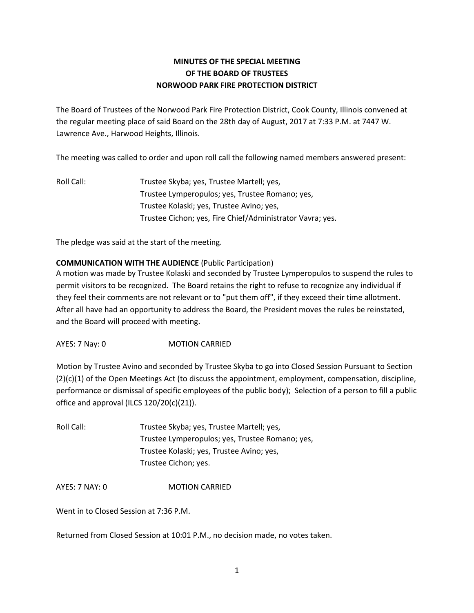## **MINUTES OF THE SPECIAL MEETING OF THE BOARD OF TRUSTEES NORWOOD PARK FIRE PROTECTION DISTRICT**

The Board of Trustees of the Norwood Park Fire Protection District, Cook County, Illinois convened at the regular meeting place of said Board on the 28th day of August, 2017 at 7:33 P.M. at 7447 W. Lawrence Ave., Harwood Heights, Illinois.

The meeting was called to order and upon roll call the following named members answered present:

Roll Call: Trustee Skyba; yes, Trustee Martell; yes, Trustee Lymperopulos; yes, Trustee Romano; yes, Trustee Kolaski; yes, Trustee Avino; yes, Trustee Cichon; yes, Fire Chief/Administrator Vavra; yes.

The pledge was said at the start of the meeting.

## **COMMUNICATION WITH THE AUDIENCE** (Public Participation)

A motion was made by Trustee Kolaski and seconded by Trustee Lymperopulos to suspend the rules to permit visitors to be recognized. The Board retains the right to refuse to recognize any individual if they feel their comments are not relevant or to "put them off", if they exceed their time allotment. After all have had an opportunity to address the Board, the President moves the rules be reinstated, and the Board will proceed with meeting.

AYES: 7 Nay: 0 MOTION CARRIED

Motion by Trustee Avino and seconded by Trustee Skyba to go into Closed Session Pursuant to Section (2)(c)(1) of the Open Meetings Act (to discuss the appointment, employment, compensation, discipline, performance or dismissal of specific employees of the public body); Selection of a person to fill a public office and approval (ILCS 120/20(c)(21)).

| Roll Call: | Trustee Skyba; yes, Trustee Martell; yes,       |
|------------|-------------------------------------------------|
|            | Trustee Lymperopulos; yes, Trustee Romano; yes, |
|            | Trustee Kolaski; yes, Trustee Avino; yes,       |
|            | Trustee Cichon; yes.                            |

AYES: 7 NAY: 0 MOTION CARRIED

Went in to Closed Session at 7:36 P.M.

Returned from Closed Session at 10:01 P.M., no decision made, no votes taken.